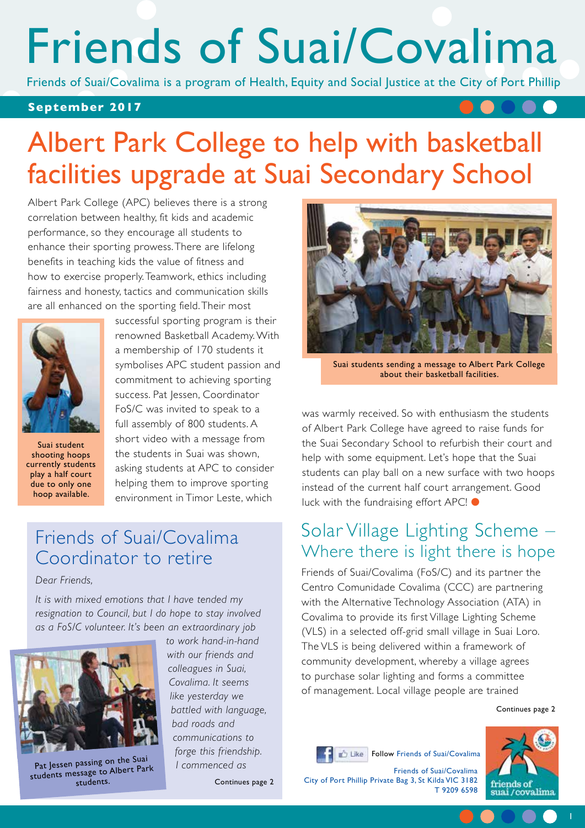# Friends of Suai/Covalima

Friends of Suai/Covalima is a program of Health, Equity and Social Justice at the City of Port Phillip

#### **September 2017**

# Albert Park College to help with basketball facilities upgrade at Suai Secondary School

Albert Park College (APC) believes there is a strong correlation between healthy, fit kids and academic performance, so they encourage all students to enhance their sporting prowess. There are lifelong benefits in teaching kids the value of fitness and how to exercise properly. Teamwork, ethics including fairness and honesty, tactics and communication skills are all enhanced on the sporting field. Their most



Suai student shooting hoops currently students play a half court due to only one hoop available.

successful sporting program is their renowned Basketball Academy. With a membership of 170 students it symbolises APC student passion and commitment to achieving sporting success. Pat Jessen, Coordinator FoS/C was invited to speak to a full assembly of 800 students. A short video with a message from the students in Suai was shown, asking students at APC to consider helping them to improve sporting environment in Timor Leste, which

### Friends of Suai/Covalima Coordinator to retire

*Dear Friends,*

*It is with mixed emotions that I have tended my resignation to Council, but I do hope to stay involved as a FoS/C volunteer. It's been an extraordinary job* 



Pat Jessen passing on the Suai students message to Albert Park students.

*to work hand-in-hand with our friends and colleagues in Suai, Covalima. It seems like yesterday we battled with language, bad roads and communications to forge this friendship. I commenced as* 

Continues page 2



Suai students sending a message to Albert Park College about their basketball facilities.

was warmly received. So with enthusiasm the students of Albert Park College have agreed to raise funds for the Suai Secondary School to refurbish their court and help with some equipment. Let's hope that the Suai students can play ball on a new surface with two hoops instead of the current half court arrangement. Good luck with the fundraising effort APC! ●

#### Solar Village Lighting Scheme – Where there is light there is hope

Friends of Suai/Covalima (FoS/C) and its partner the Centro Comunidade Covalima (CCC) are partnering with the Alternative Technology Association (ATA) in Covalima to provide its first Village Lighting Scheme (VLS) in a selected off-grid small village in Suai Loro. The VLS is being delivered within a framework of community development, whereby a village agrees to purchase solar lighting and forms a committee of management. Local village people are trained

Follow Friends of Suai/Covalima

Continues page 2





Friends of Suai/Covalima City of Port Phillip Private Bag 3, St Kilda VIC 3182 T 9209 6598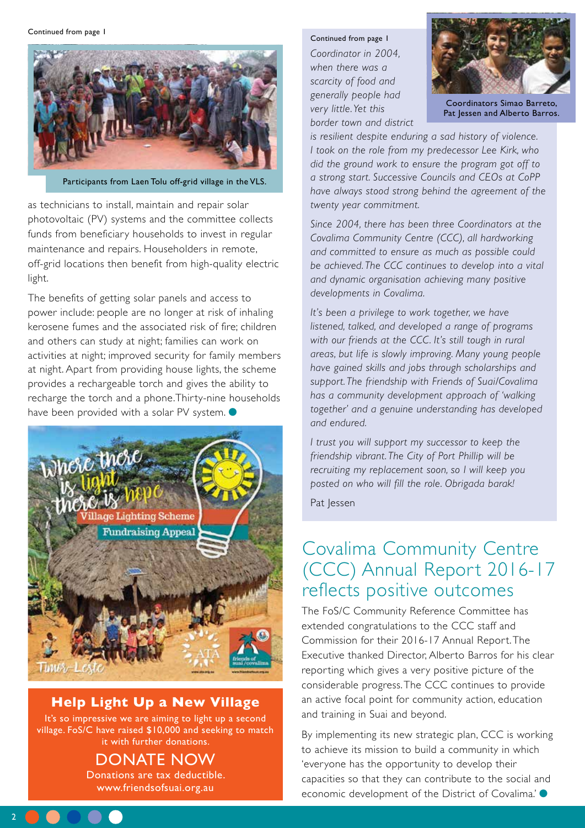

Participants from Laen Tolu off-grid village in the VLS.

as technicians to install, maintain and repair solar photovoltaic (PV) systems and the committee collects funds from beneficiary households to invest in regular maintenance and repairs. Householders in remote, off-grid locations then benefit from high-quality electric light.

The benefits of getting solar panels and access to power include: people are no longer at risk of inhaling kerosene fumes and the associated risk of fire; children and others can study at night; families can work on activities at night; improved security for family members at night. Apart from providing house lights, the scheme provides a rechargeable torch and gives the ability to recharge the torch and a phone.Thirty-nine households have been provided with a solar PV system.  $\bullet$ 



**Help Light Up a New Village**

It's so impressive we are aiming to light up a second village. FoS/C have raised \$10,000 and seeking to match it with further donations.

Donate Now

Donations are tax deductible. www.friendsofsuai.org.au

2

#### Continued from page 1

*Coordinator in 2004, when there was a scarcity of food and generally people had very little. Yet this border town and district* 



Coordinators Simao Barreto, Pat Jessen and Alberto Barros.

*is resilient despite enduring a sad history of violence. I took on the role from my predecessor Lee Kirk, who did the ground work to ensure the program got off to a strong start. Successive Councils and CEOs at CoPP have always stood strong behind the agreement of the twenty year commitment.*

*Since 2004, there has been three Coordinators at the Covalima Community Centre (CCC), all hardworking and committed to ensure as much as possible could be achieved. The CCC continues to develop into a vital and dynamic organisation achieving many positive developments in Covalima.* 

*It's been a privilege to work together, we have listened, talked, and developed a range of programs with our friends at the CCC. It's still tough in rural areas, but life is slowly improving. Many young people have gained skills and jobs through scholarships and support. The friendship with Friends of Suai/Covalima has a community development approach of 'walking together' and a genuine understanding has developed and endured.* 

*I trust you will support my successor to keep the friendship vibrant. The City of Port Phillip will be recruiting my replacement soon, so I will keep you posted on who will fill the role. Obrigada barak!*

Pat Jessen

#### Covalima Community Centre (CCC) Annual Report 2016-17 reflects positive outcomes

The FoS/C Community Reference Committee has extended congratulations to the CCC staff and Commission for their 2016-17 Annual Report. The Executive thanked Director, Alberto Barros for his clear reporting which gives a very positive picture of the considerable progress. The CCC continues to provide an active focal point for community action, education and training in Suai and beyond.

By implementing its new strategic plan, CCC is working to achieve its mission to build a community in which 'everyone has the opportunity to develop their capacities so that they can contribute to the social and economic development of the District of Covalima.' ●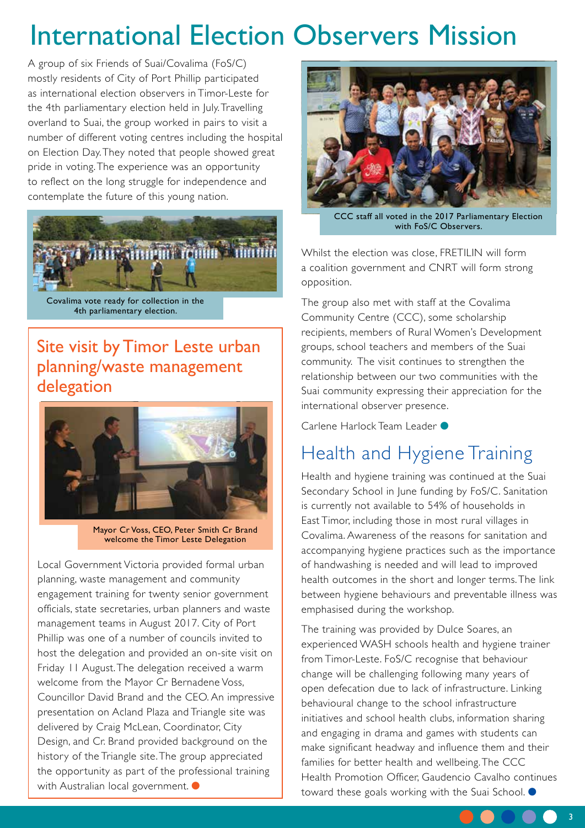# International Election Observers Mission

A group of six Friends of Suai/Covalima (FoS/C) mostly residents of City of Port Phillip participated as international election observers in Timor-Leste for the 4th parliamentary election held in July. Travelling overland to Suai, the group worked in pairs to visit a number of different voting centres including the hospital on Election Day. They noted that people showed great pride in voting. The experience was an opportunity to reflect on the long struggle for independence and contemplate the future of this young nation.



Covalima vote ready for collection in the 4th parliamentary election.

#### Site visit by Timor Leste urban planning/waste management delegation



Mayor Cr Voss, CEO, Peter Smith Cr Brand welcome the Timor Leste Delegation

Local Government Victoria provided formal urban planning, waste management and community engagement training for twenty senior government officials, state secretaries, urban planners and waste management teams in August 2017. City of Port Phillip was one of a number of councils invited to host the delegation and provided an on-site visit on Friday 11 August. The delegation received a warm welcome from the Mayor Cr Bernadene Voss, Councillor David Brand and the CEO. An impressive presentation on Acland Plaza and Triangle site was delivered by Craig McLean, Coordinator, City Design, and Cr. Brand provided background on the history of the Triangle site. The group appreciated the opportunity as part of the professional training with Australian local government. ●



CCC staff all voted in the 2017 Parliamentary Election with FoS/C Observers.

Whilst the election was close, FRETILIN will form a coalition government and CNRT will form strong opposition.

The group also met with staff at the Covalima Community Centre (CCC), some scholarship recipients, members of Rural Women's Development groups, school teachers and members of the Suai community. The visit continues to strengthen the relationship between our two communities with the Suai community expressing their appreciation for the international observer presence.

Carlene Harlock Team Leader ●

## Health and Hygiene Training

Health and hygiene training was continued at the Suai Secondary School in June funding by FoS/C. Sanitation is currently not available to 54% of households in East Timor, including those in most rural villages in Covalima. Awareness of the reasons for sanitation and accompanying hygiene practices such as the importance of handwashing is needed and will lead to improved health outcomes in the short and longer terms. The link between hygiene behaviours and preventable illness was emphasised during the workshop.

The training was provided by Dulce Soares, an experienced WASH schools health and hygiene trainer from Timor-Leste. FoS/C recognise that behaviour change will be challenging following many years of open defecation due to lack of infrastructure. Linking behavioural change to the school infrastructure initiatives and school health clubs, information sharing and engaging in drama and games with students can make significant headway and influence them and their families for better health and wellbeing. The CCC Health Promotion Officer, Gaudencio Cavalho continues toward these goals working with the Suai School. ●